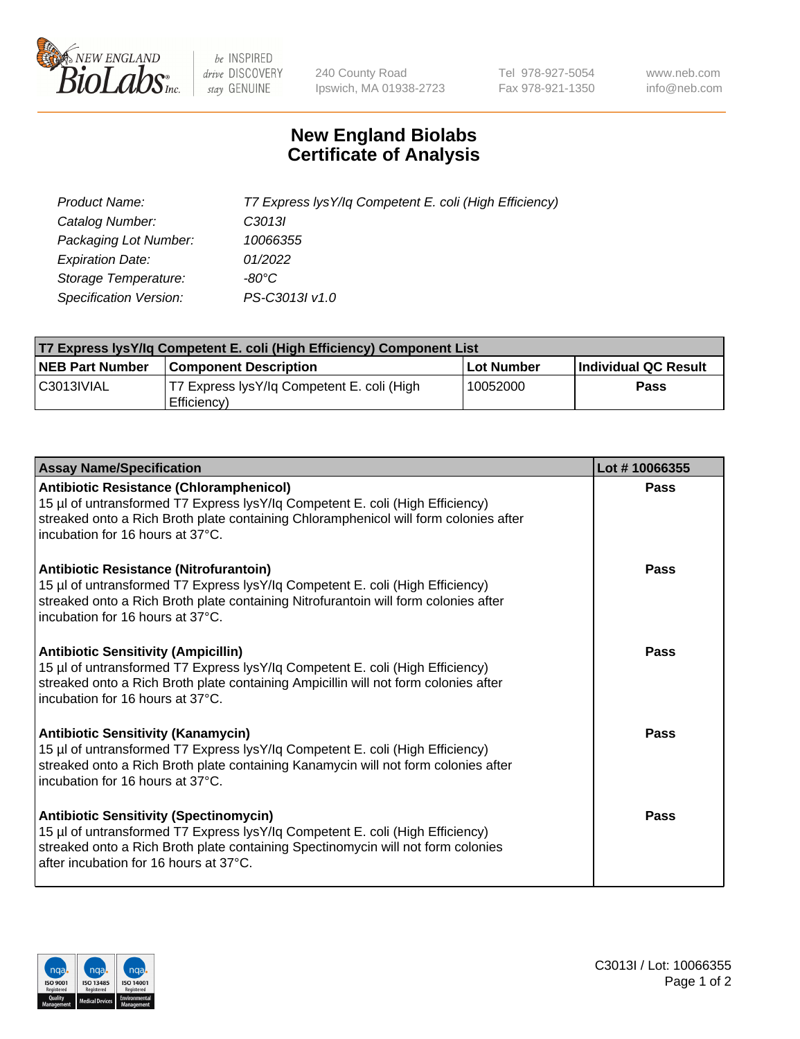

 $be$  INSPIRED drive DISCOVERY stay GENUINE

240 County Road Ipswich, MA 01938-2723 Tel 978-927-5054 Fax 978-921-1350 www.neb.com info@neb.com

## **New England Biolabs Certificate of Analysis**

| Product Name:                 | T7 Express lysY/lq Competent E. coli (High Efficiency) |
|-------------------------------|--------------------------------------------------------|
| Catalog Number:               | C3013I                                                 |
| Packaging Lot Number:         | 10066355                                               |
| <b>Expiration Date:</b>       | 01/2022                                                |
| Storage Temperature:          | -80°C                                                  |
| <b>Specification Version:</b> | PS-C3013I v1.0                                         |

| <b>T7 Express lysY/lq Competent E. coli (High Efficiency) Component List</b> |                                                           |            |                      |  |
|------------------------------------------------------------------------------|-----------------------------------------------------------|------------|----------------------|--|
| <b>NEB Part Number</b>                                                       | <b>Component Description</b>                              | Lot Number | Individual QC Result |  |
| C3013IVIAL                                                                   | T7 Express lysY/lg Competent E. coli (High<br>Efficiency) | 10052000   | Pass                 |  |

| <b>Assay Name/Specification</b>                                                                                                                                                                                                                              | Lot #10066355 |
|--------------------------------------------------------------------------------------------------------------------------------------------------------------------------------------------------------------------------------------------------------------|---------------|
| <b>Antibiotic Resistance (Chloramphenicol)</b><br>15 µl of untransformed T7 Express lysY/lq Competent E. coli (High Efficiency)<br>streaked onto a Rich Broth plate containing Chloramphenicol will form colonies after<br>incubation for 16 hours at 37°C.  | <b>Pass</b>   |
| <b>Antibiotic Resistance (Nitrofurantoin)</b><br>15 µl of untransformed T7 Express lysY/lq Competent E. coli (High Efficiency)<br>streaked onto a Rich Broth plate containing Nitrofurantoin will form colonies after<br>incubation for 16 hours at 37°C.    | Pass          |
| <b>Antibiotic Sensitivity (Ampicillin)</b><br>15 µl of untransformed T7 Express lysY/lq Competent E. coli (High Efficiency)<br>streaked onto a Rich Broth plate containing Ampicillin will not form colonies after<br>incubation for 16 hours at 37°C.       | Pass          |
| <b>Antibiotic Sensitivity (Kanamycin)</b><br>15 µl of untransformed T7 Express lysY/lq Competent E. coli (High Efficiency)<br>streaked onto a Rich Broth plate containing Kanamycin will not form colonies after<br>incubation for 16 hours at 37°C.         | <b>Pass</b>   |
| <b>Antibiotic Sensitivity (Spectinomycin)</b><br>15 µl of untransformed T7 Express lysY/lq Competent E. coli (High Efficiency)<br>streaked onto a Rich Broth plate containing Spectinomycin will not form colonies<br>after incubation for 16 hours at 37°C. | Pass          |